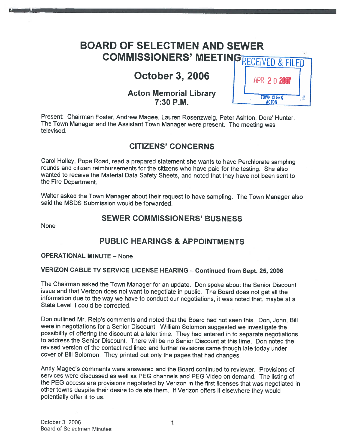# BOARD OF SELECTMEN AND SEWER COMMISSIONERS' MEETING

# **October 3, 2006**

## **Acton Memorial Library**  $7:30$  P.M.

| 'RECEIVED & FILED |                            |  |  |
|-------------------|----------------------------|--|--|
|                   | APR 2020                   |  |  |
|                   | <b>TOWN CLERK</b><br>ACTON |  |  |

Present: Chairman Foster, Andrew Magee, Lauren Rosenzweig, Peter Ashton, Dote' Hunter. The Town Manager and the Assistant Town Manager were present. The meeting was televised.

## CITIZENS' CONCERNS

Carol Holley, Pope Road, read <sup>a</sup> prepare<sup>d</sup> statement she wants to have Perchlorate sampling rounds and citizen reimbursements for the citizens who have paid for the testing. She also wanted to receive the Material Data Safety Sheets, and noted that they have not been sent to the Fire Department.

Walter asked the Town Manager about their reques<sup>t</sup> to have sampling. The Town Manager also said the MSDS Submission would be forwarded.

## SEWER COMMISSIONERS' BUSNESS

None

## PUBLIC HEARINGS & APPOINTMENTS

#### OPERATIONAL MINUTE — None

#### VERIZON CABLE TV SERVICE LICENSE HEARING — Continued from Sept. 25, <sup>2006</sup>

The Chairman asked the Town Manager for an update. Don spoke about the Senior Discount issue and that Verizon does not want to negotiate in public. The Board does not ge<sup>t</sup> all the information due to the way we have to conduct our negotiations, it was noted that. maybe at <sup>a</sup> State Level it could be corrected.

Don outlined Mr. Reip's comments and noted that the Board had not seen this. Don, John, Bill were in negotiations for <sup>a</sup> Senior Discount. William Solomon suggested we investigate the possibility of offering the discount at <sup>a</sup> later time. They had entered in to separate negotiations to address the Senior Discount. There will be no Senior Discount at this time. Don noted the revised version of the contact red lined and further revisions came though late today under cover of Bill Solomon. They printed out only the pages that had changes.

Andy Magee's comments were answered and the Board continued to reviewer. Provisions of services were discussed as well as PEG channels and PEG Video on demand. The listing of the PEG access are provisions negotiated by Verizon in the first licenses that was negotiated in other towns despite their desire to delete them. If Verizon offers it elsewhere they would potentially offer it to us.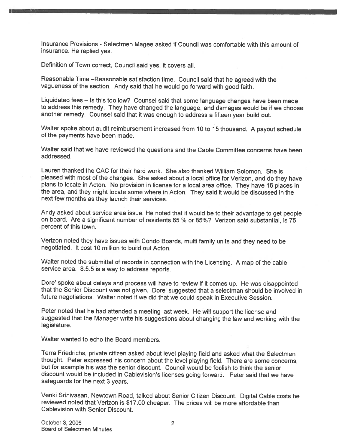Insurance Provisions - Selectmen Magee asked if Council was comfortable with this amount of insurance. He replied yes.

Definition of Town correct, Council said yes, it covers all.

Reasonable Time —Reasonable satisfaction time. Council said that he agree<sup>d</sup> with the vagueness of the section. Andy said that he would go forward with goo<sup>d</sup> faith.

Liquidated fees — Is this too low? Counsel said that some language changes have been made to address this remedy. They have changed the language, and damages would be if we choose another remedy. Counsel said that it was enoug<sup>h</sup> to address <sup>a</sup> fifteen year build out.

Walter spoke about audit reimbursement increased from <sup>10</sup> to <sup>15</sup> thousand. <sup>A</sup> payou<sup>t</sup> schedule of the payments have been made.

Walter said that we have reviewed the questions and the Cable Committee concerns have been addressed.

Lauren thanked the CAC for their hard work. She also thanked William Solomon. She is <sup>p</sup>leased with most of the changes. She asked about <sup>a</sup> local office for Verizon, and do they have <sup>p</sup>lans to locate in Acton. No provision in license for <sup>a</sup> local area office. They have <sup>16</sup> <sup>p</sup>laces in the area, and they might locate some where in Acton. They said it would be discussed in the next few months as they launch their services.

Andy asked about service area issue. He noted that it would be to their advantage to ge<sup>t</sup> people on board. Are <sup>a</sup> significant number of residents 65 % or 85%? Verizon said substantial, is 75 percen<sup>t</sup> of this town.

Verizon noted they have issues with Condo Boards, multi family units and they need to be negotiated. It cost 10 million to build out Acton.

Walter noted the submittal of records in connection with the Licensing. <sup>A</sup> map of the cable service area. 8.5.5 is <sup>a</sup> way to address reports.

Dore' spoke about delays and process will have to review if it comes up. He was disappointed that the Senior Discount was not <sup>g</sup>iven. Dore' suggested that <sup>a</sup> selectman should be involved in future negotiations. Walter noted if we did that we could spea<sup>k</sup> in Executive Session.

Peter noted that he had attended <sup>a</sup> meeting last week. He will suppor<sup>t</sup> the license and suggested that the Manager write his suggestions about changing the law and working with the legislature.

Walter wanted to echo the Board members.

Terra Friedrichs, private citizen asked about level <sup>p</sup>laying field and asked what the Selectmen thought. Peter expresse<sup>d</sup> his concern about the level <sup>p</sup>laying field. There are some concerns, but for example his was the senior discount. Council would be foolish to think the senior discount would be included in Cablevision's licenses going forward. Peter said that we have safeguards for the next 3 years.

Venki Srinivasan, Newtown Road, talked about Senior Citizen Discount. Digital Cable costs he reviewed noted that Verizon is \$17.00 cheaper. The prices will be more affordable than Cablevision with Senior Discount.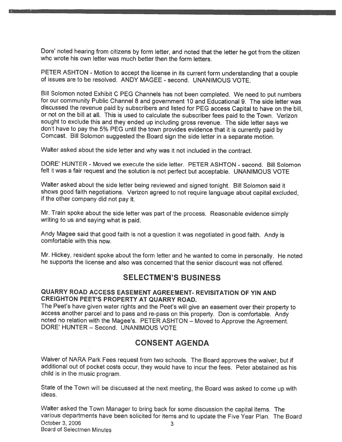Dore' noted hearing from citizens by form letter, and noted that the letter he go<sup>t</sup> from the citizen who wrote his own letter was much better then the form letters.

PETER ASHTON - Motion to accept the license in its current form understanding that a couple<br>of issues are to be resolved. ANDY MAGEE - second. UNANIMOUS VOTE.

Bill Solomon noted Exhibit <sup>C</sup> PEG Channels has not been completed. We need to pu<sup>t</sup> numbers for our community Public Channel <sup>8</sup> and governmen<sup>t</sup> <sup>10</sup> and Educational 9. The side letter was discussed the revenue paid by subscribers and listed for PEG access Capital to have on the bill, or not on the bill at all. This is used to calculate the subscriber fees paid to the Town. Verizon sought to exclude this and they ended up including gross revenue. The side letter says we don't have to pay the 5% PEG until the town provides evidence that it is currently paid by Comcast. Bill Solomon suggested the Board sign the side letter in a separate motion.

Walter asked about the side letter and why was it not included in the contract.

DORE' HUNTER - Moved we execute the side letter. PETER ASHTON - second. Bill Solomon felt it was <sup>a</sup> fair reques<sup>t</sup> and the solution is not perfect but acceptable. UNANIMOUS VOTE

Walter asked about the side letter being reviewed and signed tonight. Bill Solomon said it shows goo<sup>d</sup> faith negotiations. Verizon agree<sup>d</sup> to not require language about capital excluded, if the other company did not pay it.

Mr. Train spoke about the side letter was par<sup>t</sup> of the process. Reasonable evidence simply writing to us and saying what is paid.

Andy Magee said that goo<sup>d</sup> faith is not <sup>a</sup> question it was negotiated in goo<sup>d</sup> faith. Andy is comfortable with this now.

Mr. Hickey, resident spoke about the form letter and he wanted to come in personally. He noted he supports the license and also was concerned that the senior discount was not offered.

### SELECTMEN'S BUSINESS

#### QUARRY ROAD ACCESS EASEMENT AGREEMENT- REVISITATION OF YIN AND CREIGHTON PEET'S PROPERTY AT QUARRY ROAD.

The Peet's have <sup>g</sup>iven water rights and the Peet's will <sup>g</sup>ive an easement over their property to access another parce<sup>l</sup> and to pass and re-pass on this property. Don is comfortable. Andy noted no relation with the Magee's. PETER ASHTON — Moved to Approve the Agreement. DORE' HUNTER — Second. UNANIMOUS VOTE

## CONSENT AGENDA

Waiver of NARA Park Fees reques<sup>t</sup> from two schools. The Board approves the waiver, but if additional out of pocket costs occur, they would have to incur the fees. Peter abstained as his child is in the music program.

State of the Town will be discussed at the next meeting, the Board was asked to come up with ideas.

Walter asked the Town Manager to bring back for some discussion the capital items. The various departments have been solicited for items and to update the Five Year Plan. The Board October 3, 2006 3 Board of Selectmen Minutes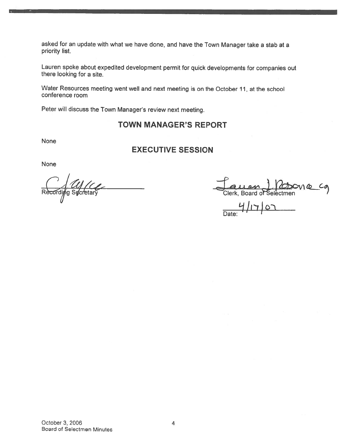asked for an update with what we have done, and have the Town Manager take <sup>a</sup> stab at <sup>a</sup> priority list.

Lauren spoke about expedited development permit for quick developments for companies out there looking for <sup>a</sup> site.

Water Resources meeting went well and next meeting is on the October 11, at the school conference room

Peter will discuss the Town Manager's review next meeting.

### TOWN MANAGER'S REPORT

None

### EXECUTIVE SESSION

None

Clerk, Board of Selectmen<br>Clerk, Board of Selectmen

L1JI7jL) Date: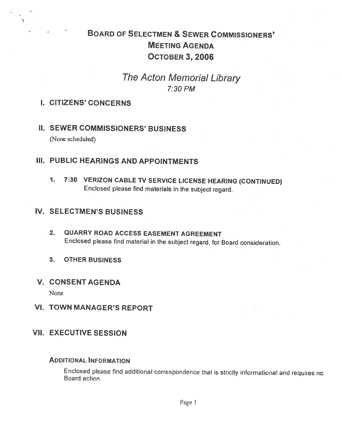# BOARD OF SELECTMEN & SEWER CoMMIssIONERs' MEETING AGENDA OcToBER 3, 2006

# The Acton Memorial Library 7:30 PM

### I. CITIZENS' CONCERNS

## II. SEWER COMMISSIONERS' BUSINESS

(None scheduled)

# III. PUBLIC HEARINGS AND APPOINTMENTS

1. 7:30 VERIZON CABLE TV SERVICE LICENSE HEARING (CONTINUED) Enclosed <sup>p</sup>lease find materials in the subject regard.

### IV. SELECTMEN'S BUSINESS

- 2. QUARRY ROAD ACCESS EASEMENT AGREEMENT Enclosed <sup>p</sup>lease find material in the subject regard, for Board consideration.
- 3. OTHER BUSINESS

### V. CONSENT AGENDA

None

VI. TOWN MANAGER'S REPORT

## VII. EXECUTIVE SESSION

### ADDITIoNAL INFORMATION

Enclosed <sup>p</sup>lease find additional correspondence that is strictly informational and requires no Board action.

Page 1